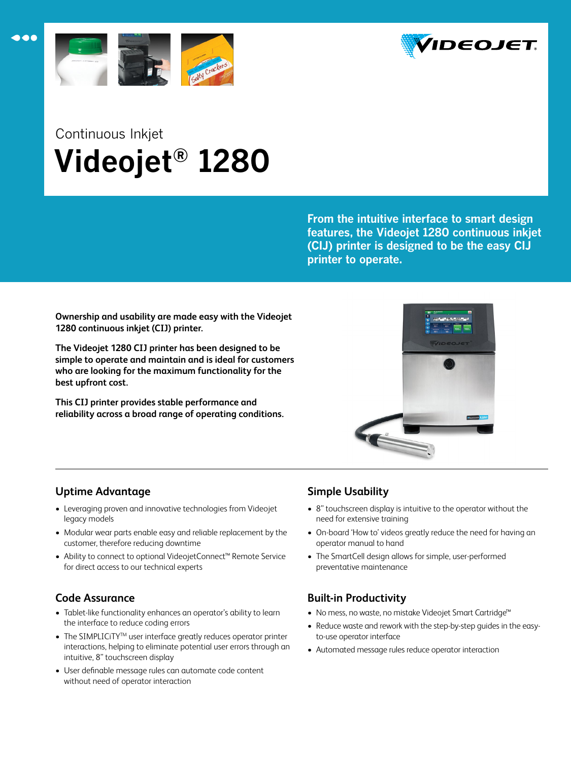



# Continuous Inkjet  **Videojet® 1280**

**From the intuitive interface to smart design features, the Videojet 1280 continuous inkjet (CIJ) printer is designed to be the easy CIJ printer to operate.**

**Ownership and usability are made easy with the Videojet 1280 continuous inkjet (CIJ) printer.** 

**The Videojet 1280 CIJ printer has been designed to be simple to operate and maintain and is ideal for customers who are looking for the maximum functionality for the best upfront cost.**

**This CIJ printer provides stable performance and reliability across a broad range of operating conditions.**



# **Uptime Advantage**

- Leveraging proven and innovative technologies from Videojet legacy models
- Modular wear parts enable easy and reliable replacement by the customer, therefore reducing downtime
- Ability to connect to optional VideojetConnect™ Remote Service for direct access to our technical experts

# **Code Assurance**

- Tablet-like functionality enhances an operator's ability to learn the interface to reduce coding errors
- The SIMPLICITY<sup>™</sup> user interface greatly reduces operator printer interactions, helping to eliminate potential user errors through an intuitive, 8" touchscreen display
- User definable message rules can automate code content without need of operator interaction

# **Simple Usability**

- 8" touchscreen display is intuitive to the operator without the need for extensive training
- On-board 'How to' videos greatly reduce the need for having an operator manual to hand
- The SmartCell design allows for simple, user-performed preventative maintenance

# **Built-in Productivity**

- No mess, no waste, no mistake Videojet Smart Cartridge™
- Reduce waste and rework with the step-by-step guides in the easyto-use operator interface
- Automated message rules reduce operator interaction